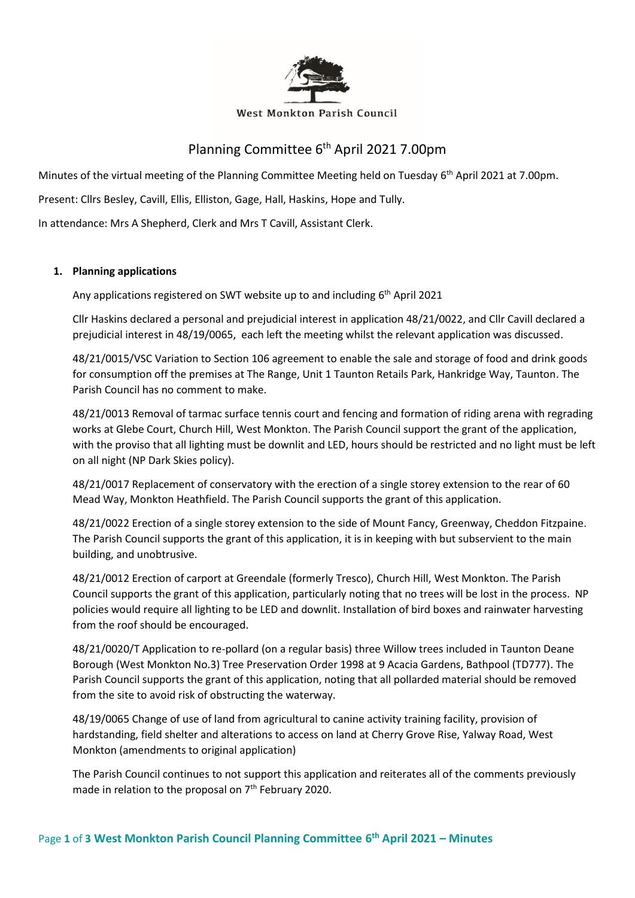

#### West Monkton Parish Council

# Planning Committee 6<sup>th</sup> April 2021 7.00pm

Minutes of the virtual meeting of the Planning Committee Meeting held on Tuesday 6<sup>th</sup> April 2021 at 7.00pm.

Present: Cllrs Besley, Cavill, Ellis, Elliston, Gage, Hall, Haskins, Hope and Tully.

In attendance: Mrs A Shepherd, Clerk and Mrs T Cavill, Assistant Clerk.

#### **1. Planning applications**

Any applications registered on SWT website up to and including 6<sup>th</sup> April 2021

Cllr Haskins declared a personal and prejudicial interest in application 48/21/0022, and Cllr Cavill declared a prejudicial interest in 48/19/0065, each left the meeting whilst the relevant application was discussed.

48/21/0015/VSC Variation to Section 106 agreement to enable the sale and storage of food and drink goods for consumption off the premises at The Range, Unit 1 Taunton Retails Park, Hankridge Way, Taunton. The Parish Council has no comment to make.

48/21/0013 Removal of tarmac surface tennis court and fencing and formation of riding arena with regrading works at Glebe Court, Church Hill, West Monkton. The Parish Council support the grant of the application, with the proviso that all lighting must be downlit and LED, hours should be restricted and no light must be left on all night (NP Dark Skies policy).

48/21/0017 Replacement of conservatory with the erection of a single storey extension to the rear of 60 Mead Way, Monkton Heathfield. The Parish Council supports the grant of this application.

48/21/0022 Erection of a single storey extension to the side of Mount Fancy, Greenway, Cheddon Fitzpaine. The Parish Council supports the grant of this application, it is in keeping with but subservient to the main building, and unobtrusive.

48/21/0012 Erection of carport at Greendale (formerly Tresco), Church Hill, West Monkton. The Parish Council supports the grant of this application, particularly noting that no trees will be lost in the process. NP policies would require all lighting to be LED and downlit. Installation of bird boxes and rainwater harvesting from the roof should be encouraged.

48/21/0020/T Application to re-pollard (on a regular basis) three Willow trees included in Taunton Deane Borough (West Monkton No.3) Tree Preservation Order 1998 at 9 Acacia Gardens, Bathpool (TD777). The Parish Council supports the grant of this application, noting that all pollarded material should be removed from the site to avoid risk of obstructing the waterway.

48/19/0065 Change of use of land from agricultural to canine activity training facility, provision of hardstanding, field shelter and alterations to access on land at Cherry Grove Rise, Yalway Road, West Monkton (amendments to original application)

The Parish Council continues to not support this application and reiterates all of the comments previously made in relation to the proposal on 7<sup>th</sup> February 2020.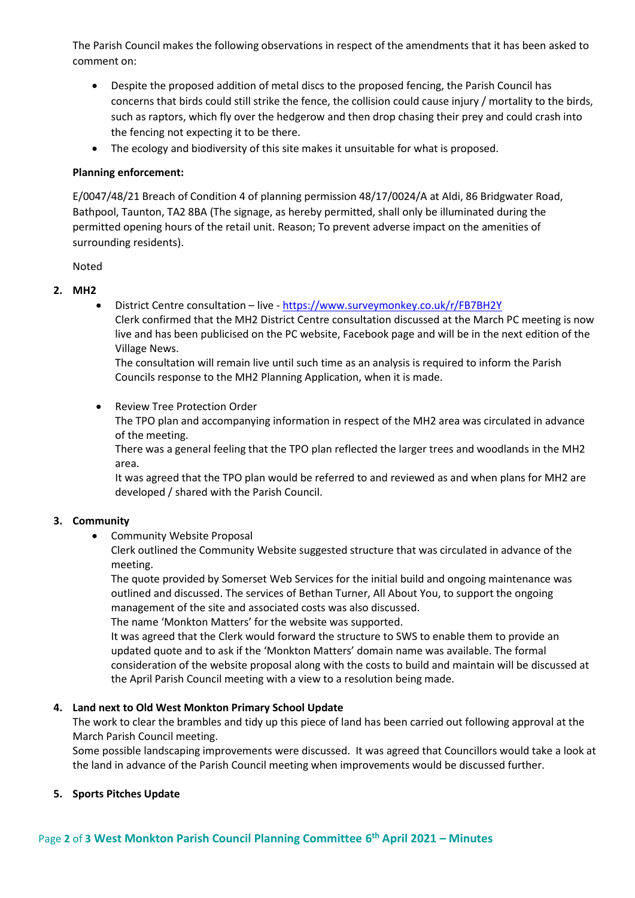The Parish Council makes the following observations in respect of the amendments that it has been asked to comment on:

- Despite the proposed addition of metal discs to the proposed fencing, the Parish Council has concerns that birds could still strike the fence, the collision could cause injury / mortality to the birds, such as raptors, which fly over the hedgerow and then drop chasing their prey and could crash into the fencing not expecting it to be there.
- The ecology and biodiversity of this site makes it unsuitable for what is proposed.

#### **Planning enforcement:**

E/0047/48/21 Breach of Condition 4 of planning permission 48/17/0024/A at Aldi, 86 Bridgwater Road, Bathpool, Taunton, TA2 8BA (The signage, as hereby permitted, shall only be illuminated during the permitted opening hours of the retail unit. Reason; To prevent adverse impact on the amenities of surrounding residents).

# Noted

# **2. MH2**

• District Centre consultation – live - <https://www.surveymonkey.co.uk/r/FB7BH2Y>

Clerk confirmed that the MH2 District Centre consultation discussed at the March PC meeting is now live and has been publicised on the PC website, Facebook page and will be in the next edition of the Village News.

The consultation will remain live until such time as an analysis is required to inform the Parish Councils response to the MH2 Planning Application, when it is made.

# • Review Tree Protection Order

The TPO plan and accompanying information in respect of the MH2 area was circulated in advance of the meeting.

There was a general feeling that the TPO plan reflected the larger trees and woodlands in the MH2 area.

It was agreed that the TPO plan would be referred to and reviewed as and when plans for MH2 are developed / shared with the Parish Council.

# **3. Community**

• Community Website Proposal

Clerk outlined the Community Website suggested structure that was circulated in advance of the meeting.

The quote provided by Somerset Web Services for the initial build and ongoing maintenance was outlined and discussed. The services of Bethan Turner, All About You, to support the ongoing management of the site and associated costs was also discussed.

The name 'Monkton Matters' for the website was supported.

It was agreed that the Clerk would forward the structure to SWS to enable them to provide an updated quote and to ask if the 'Monkton Matters' domain name was available. The formal consideration of the website proposal along with the costs to build and maintain will be discussed at the April Parish Council meeting with a view to a resolution being made.

# **4. Land next to Old West Monkton Primary School Update**

The work to clear the brambles and tidy up this piece of land has been carried out following approval at the March Parish Council meeting.

Some possible landscaping improvements were discussed. It was agreed that Councillors would take a look at the land in advance of the Parish Council meeting when improvements would be discussed further.

# **5. Sports Pitches Update**